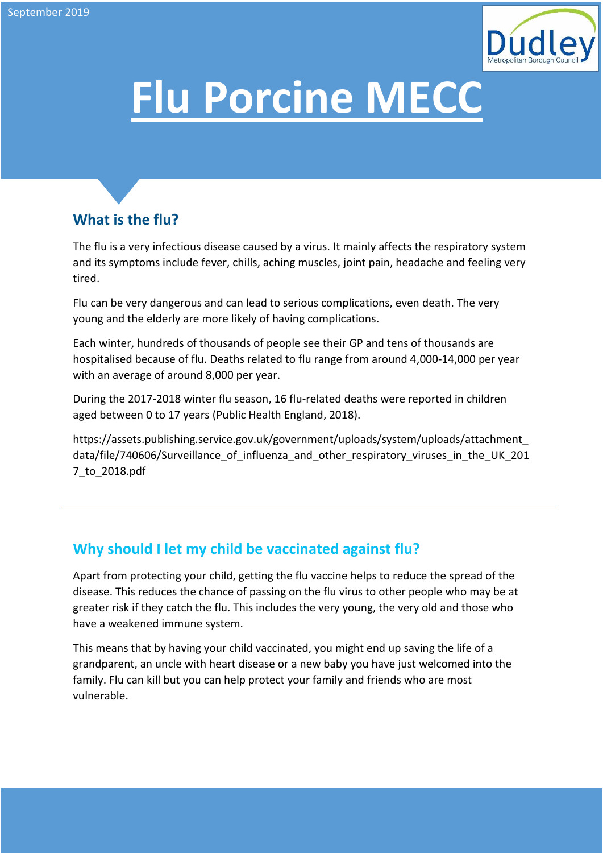

# **Flu Porcine MECC**

## **What is the flu?**

The flu is a very infectious disease caused by a virus. It mainly affects the respiratory system and its symptoms include fever, chills, aching muscles, joint pain, headache and feeling very tired.

Flu can be very dangerous and can lead to serious complications, even death. The very young and the elderly are more likely of having complications.

Each winter, hundreds of thousands of people see their GP and tens of thousands are hospitalised because of flu. Deaths related to flu range from around 4,000-14,000 per year with an average of around 8,000 per year.

During the 2017-2018 winter flu season, 16 flu-related deaths were reported in children aged between 0 to 17 years (Public Health England, 2018).

[https://assets.publishing.service.gov.uk/government/uploads/system/uploads/attachment\\_](https://assets.publishing.service.gov.uk/government/uploads/system/uploads/attachment_data/file/740606/Surveillance_of_influenza_and_other_respiratory_viruses_in_the_UK_2017_to_2018.pdf) data/file/740606/Surveillance of influenza and other respiratory viruses in the UK 201 [7\\_to\\_2018.pdf](https://assets.publishing.service.gov.uk/government/uploads/system/uploads/attachment_data/file/740606/Surveillance_of_influenza_and_other_respiratory_viruses_in_the_UK_2017_to_2018.pdf) 

### **Why should I let my child be vaccinated against flu?**

Apart from protecting your child, getting the flu vaccine helps to reduce the spread of the disease. This reduces the chance of passing on the flu virus to other people who may be at greater risk if they catch the flu. This includes the very young, the very old and those who have a weakened immune system.

This means that by having your child vaccinated, you might end up saving the life of a grandparent, an uncle with heart disease or a new baby you have just welcomed into the family. Flu can kill but you can help protect your family and friends who are most vulnerable.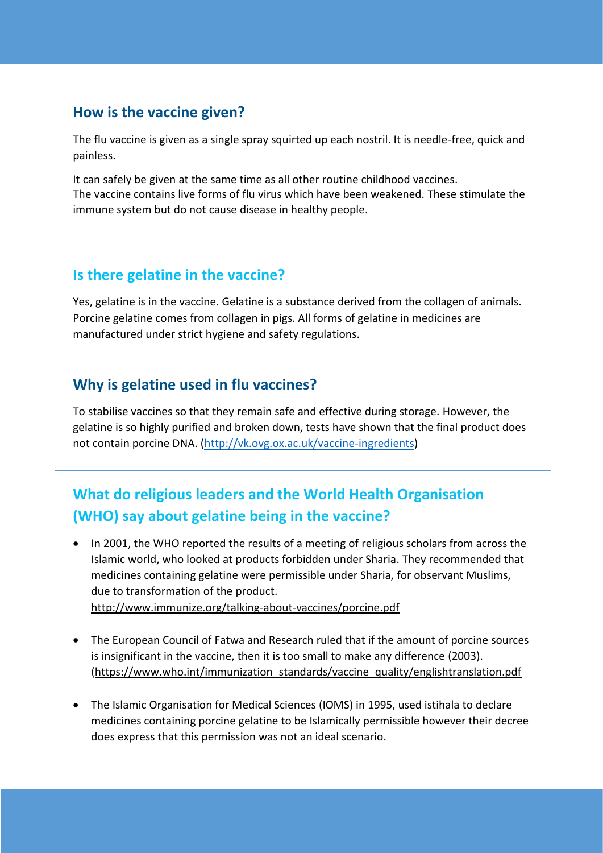#### **How is the vaccine given?**

The flu vaccine is given as a single spray squirted up each nostril. It is needle-free, quick and painless.

It can safely be given at the same time as all other routine childhood vaccines. The vaccine contains live forms of flu virus which have been weakened. These stimulate the immune system but do not cause disease in healthy people.

#### **Is there gelatine in the vaccine?**

Yes, gelatine is in the vaccine. Gelatine is a substance derived from the collagen of animals. Porcine gelatine comes from collagen in pigs. All forms of gelatine in medicines are manufactured under strict hygiene and safety regulations.

#### **Why is gelatine used in flu vaccines?**

To stabilise vaccines so that they remain safe and effective during storage. However, the gelatine is so highly purified and broken down, tests have shown that the final product does not contain porcine DNA. [\(http://vk.ovg.ox.ac.uk/vaccine-ingredients\)](http://vk.ovg.ox.ac.uk/vaccine-ingredients)

## **What do religious leaders and the World Health Organisation (WHO) say about gelatine being in the vaccine?**

- In 2001, the WHO reported the results of a meeting of religious scholars from across the Islamic world, who looked at products forbidden under Sharia. They recommended that medicines containing gelatine were permissible under Sharia, for observant Muslims, due to transformation of the product. <http://www.immunize.org/talking-about-vaccines/porcine.pdf>
- The European Council of Fatwa and Research ruled that if the amount of porcine sources is insignificant in the vaccine, then it is too small to make any difference (2003). [\(https://www.who.int/immunization\\_standards/vaccine\\_quality/englishtranslation.pdf](https://www.who.int/immunization_standards/vaccine_quality/englishtranslation.pdf)
- The Islamic Organisation for Medical Sciences (IOMS) in 1995, used istihala to declare medicines containing porcine gelatine to be Islamically permissible however their decree does express that this permission was not an ideal scenario.